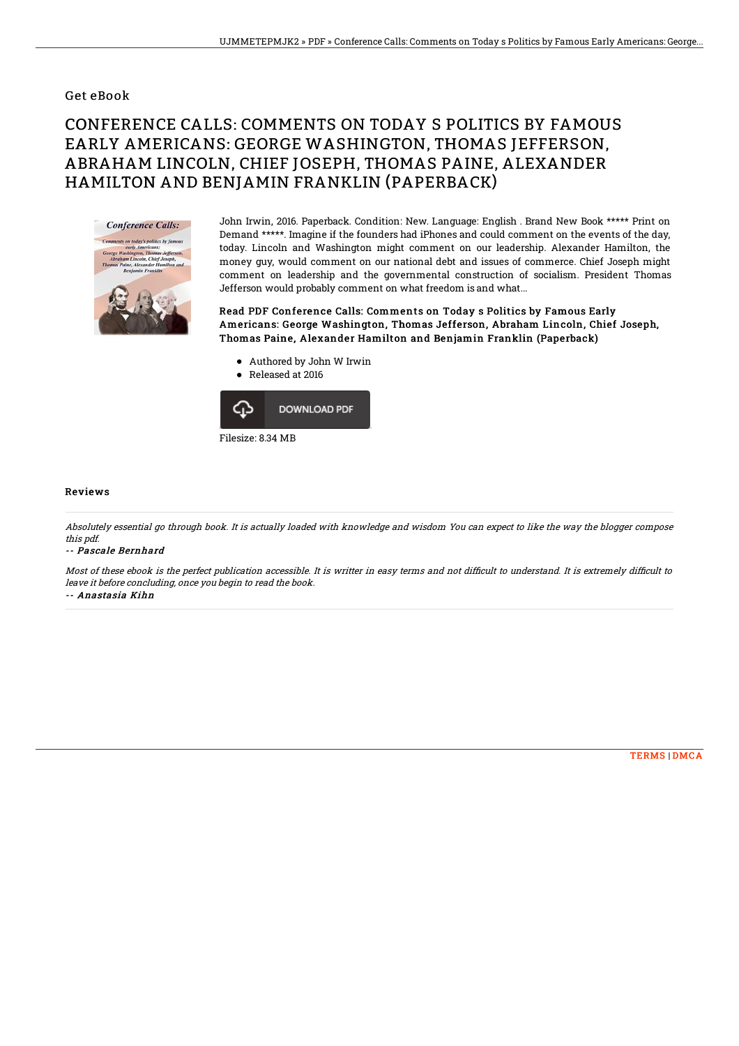### Get eBook

# CONFERENCE CALLS: COMMENTS ON TODAY S POLITICS BY FAMOUS EARLY AMERICANS: GEORGE WASHINGTON, THOMAS JEFFERSON, ABRAHAM LINCOLN, CHIEF JOSEPH, THOMAS PAINE, ALEXANDER HAMILTON AND BENJAMIN FRANKLIN (PAPERBACK)



John Irwin, 2016. Paperback. Condition: New. Language: English . Brand New Book \*\*\*\*\* Print on Demand \*\*\*\*\*. Imagine if the founders had iPhones and could comment on the events of the day, today. Lincoln and Washington might comment on our leadership. Alexander Hamilton, the money guy, would comment on our national debt and issues of commerce. Chief Joseph might comment on leadership and the governmental construction of socialism. President Thomas Jefferson would probably comment on what freedom is and what...

Read PDF Conference Calls: Comments on Today s Politics by Famous Early Americans: George Washington, Thomas Jefferson, Abraham Lincoln, Chief Joseph, Thomas Paine, Alexander Hamilton and Benjamin Franklin (Paperback)

- Authored by John W Irwin
- Released at 2016



#### Reviews

Absolutely essential go through book. It is actually loaded with knowledge and wisdom You can expect to like the way the blogger compose this pdf.

#### -- Pascale Bernhard

Most of these ebook is the perfect publication accessible. It is writter in easy terms and not difficult to understand. It is extremely difficult to leave it before concluding, once you begin to read the book. -- Anastasia Kihn

[TERMS](http://techno-pub.tech/terms.html) | [DMCA](http://techno-pub.tech/dmca.html)